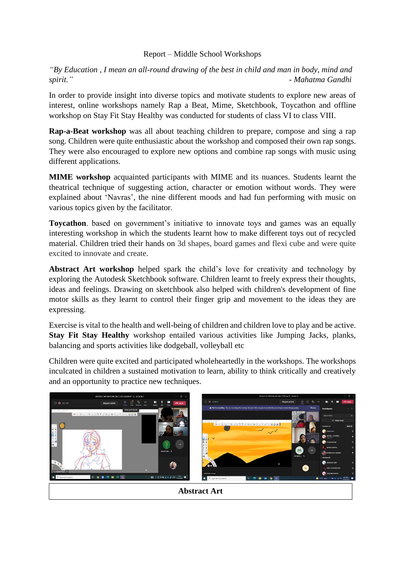## Report – Middle School Workshops

*"By Education , I mean an all-round drawing of the best in child and man in body, mind and spirit." - Mahatma Gandhi*

In order to provide insight into diverse topics and motivate students to explore new areas of interest, online workshops namely Rap a Beat, Mime, Sketchbook, Toycathon and offline workshop on Stay Fit Stay Healthy was conducted for students of class VI to class VIII.

**Rap-a-Beat workshop** was all about teaching children to prepare, compose and sing a rap song. Children were quite enthusiastic about the workshop and composed their own rap songs. They were also encouraged to explore new options and combine rap songs with music using different applications.

**MIME workshop** acquainted participants with MIME and its nuances. Students learnt the theatrical technique of suggesting action, character or emotion without words. They were explained about 'Navras', the nine different moods and had fun performing with music on various topics given by the facilitator.

**Toycathon**, based on government's initiative to innovate toys and games was an equally interesting workshop in which the students learnt how to make different toys out of recycled material. Children tried their hands on 3d shapes, board games and flexi cube and were quite excited to innovate and create.

**Abstract Art workshop** helped spark the child's love for creativity and technology by exploring the Autodesk Sketchbook software. Children learnt to freely express their thoughts, ideas and feelings. Drawing on sketchbook also helped with children's development of fine motor skills as they learnt to control their finger grip and movement to the ideas they are expressing.

Exercise is vital to the health and well-being of children and children love to play and be active. **Stay Fit Stay Healthy** workshop entailed various activities like Jumping Jacks, planks, balancing and sports activities like dodgeball, volleyball etc

Children were quite excited and participated wholeheartedly in the workshops. The workshops inculcated in children a sustained motivation to learn, ability to think critically and creatively and an opportunity to practice new techniques.



**Abstract Art**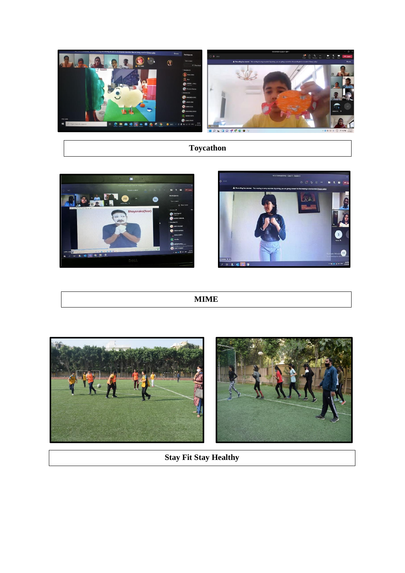

## **Toycathon**





## **MIME**



**Stay Fit Stay Healthy**